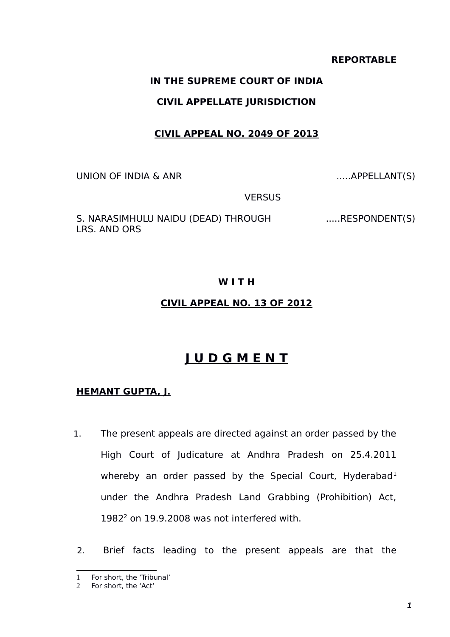#### **REPORTABLE**

# **IN THE SUPREME COURT OF INDIA**

# **CIVIL APPELLATE JURISDICTION**

# **CIVIL APPEAL NO. 2049 OF 2013**

UNION OF INDIA & ANR .....APPELLANT(S)

**VERSUS** 

S. NARASIMHULU NAIDU (DEAD) THROUGH LRS. AND ORS

.....RESPONDENT(S)

# **W I T H**

#### **CIVIL APPEAL NO. 13 OF 2012**

# **J U D G M E N T**

# **HEMANT GUPTA, J.**

- 1. The present appeals are directed against an order passed by the High Court of Judicature at Andhra Pradesh on 25.4.2011 whereby an order passed by the Special Court, Hyderabad<sup>[1](#page-0-0)</sup> under the Andhra Pradesh Land Grabbing (Prohibition) Act,  $1982<sup>2</sup>$  $1982<sup>2</sup>$  $1982<sup>2</sup>$  on 19.9.2008 was not interfered with.
- 2. Brief facts leading to the present appeals are that the

<span id="page-0-0"></span><sup>1</sup> For short, the 'Tribunal'

<span id="page-0-1"></span><sup>2</sup> For short, the 'Act'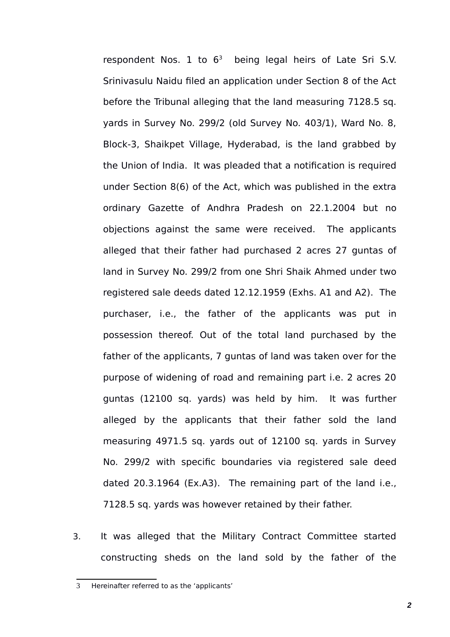respondent Nos. 1 to  $6<sup>3</sup>$  $6<sup>3</sup>$  $6<sup>3</sup>$  being legal heirs of Late Sri S.V. Srinivasulu Naidu filed an application under Section 8 of the Act before the Tribunal alleging that the land measuring 7128.5 sq. yards in Survey No. 299/2 (old Survey No. 403/1), Ward No. 8, Block-3, Shaikpet Village, Hyderabad, is the land grabbed by the Union of India. It was pleaded that a notification is required under Section 8(6) of the Act, which was published in the extra ordinary Gazette of Andhra Pradesh on 22.1.2004 but no objections against the same were received. The applicants alleged that their father had purchased 2 acres 27 guntas of land in Survey No. 299/2 from one Shri Shaik Ahmed under two registered sale deeds dated 12.12.1959 (Exhs. A1 and A2). The purchaser, i.e., the father of the applicants was put in possession thereof. Out of the total land purchased by the father of the applicants, 7 guntas of land was taken over for the purpose of widening of road and remaining part i.e. 2 acres 20 guntas (12100 sq. yards) was held by him. It was further alleged by the applicants that their father sold the land measuring 4971.5 sq. yards out of 12100 sq. yards in Survey No. 299/2 with specific boundaries via registered sale deed dated 20.3.1964 (Ex.A3). The remaining part of the land i.e., 7128.5 sq. yards was however retained by their father.

3. It was alleged that the Military Contract Committee started constructing sheds on the land sold by the father of the

*2*

<span id="page-1-0"></span><sup>3</sup> Hereinafter referred to as the 'applicants'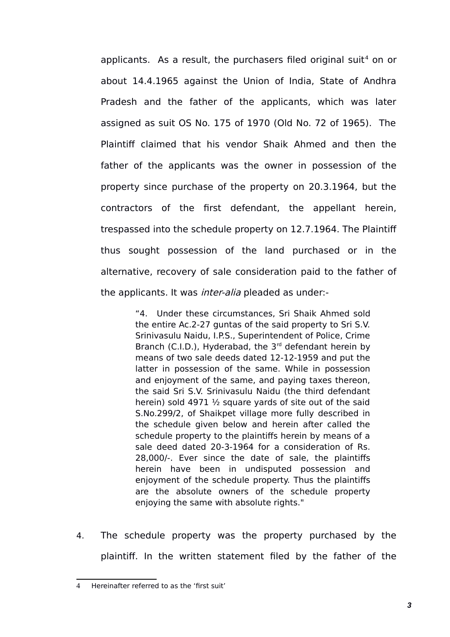applicants. As a result, the purchasers filed original suit<sup>[4](#page-2-0)</sup> on or about 14.4.1965 against the Union of India, State of Andhra Pradesh and the father of the applicants, which was later assigned as suit OS No. 175 of 1970 (Old No. 72 of 1965). The Plaintiff claimed that his vendor Shaik Ahmed and then the father of the applicants was the owner in possession of the property since purchase of the property on 20.3.1964, but the contractors of the first defendant, the appellant herein, trespassed into the schedule property on 12.7.1964. The Plaintiff thus sought possession of the land purchased or in the alternative, recovery of sale consideration paid to the father of the applicants. It was *inter-alia* pleaded as under:-

> "4. Under these circumstances, Sri Shaik Ahmed sold the entire Ac.2-27 guntas of the said property to Sri S.V. Srinivasulu Naidu, I.P.S., Superintendent of Police, Crime Branch (C.I.D.), Hyderabad, the  $3<sup>rd</sup>$  defendant herein by means of two sale deeds dated 12-12-1959 and put the latter in possession of the same. While in possession and enjoyment of the same, and paying taxes thereon, the said Sri S.V. Srinivasulu Naidu (the third defendant herein) sold 4971 ½ square yards of site out of the said S.No.299/2, of Shaikpet village more fully described in the schedule given below and herein after called the schedule property to the plaintiffs herein by means of a sale deed dated 20-3-1964 for a consideration of Rs. 28,000/-. Ever since the date of sale, the plaintiffs herein have been in undisputed possession and enjoyment of the schedule property. Thus the plaintiffs are the absolute owners of the schedule property enjoying the same with absolute rights."

4. The schedule property was the property purchased by the plaintiff. In the written statement filed by the father of the

<span id="page-2-0"></span><sup>4</sup> Hereinafter referred to as the 'first suit'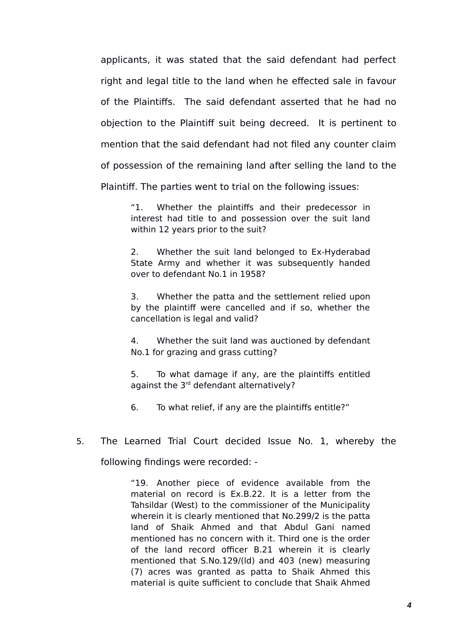applicants, it was stated that the said defendant had perfect right and legal title to the land when he effected sale in favour of the Plaintiffs. The said defendant asserted that he had no objection to the Plaintiff suit being decreed. It is pertinent to mention that the said defendant had not filed any counter claim of possession of the remaining land after selling the land to the Plaintiff. The parties went to trial on the following issues:

> "1. Whether the plaintiffs and their predecessor in interest had title to and possession over the suit land within 12 years prior to the suit?

> 2. Whether the suit land belonged to Ex-Hyderabad State Army and whether it was subsequently handed over to defendant No.1 in 1958?

> 3. Whether the patta and the settlement relied upon by the plaintiff were cancelled and if so, whether the cancellation is legal and valid?

> 4. Whether the suit land was auctioned by defendant No.1 for grazing and grass cutting?

> 5. To what damage if any, are the plaintiffs entitled against the 3<sup>rd</sup> defendant alternatively?

6. To what relief, if any are the plaintiffs entitle?"

5. The Learned Trial Court decided Issue No. 1, whereby the

following findings were recorded: -

"19. Another piece of evidence available from the material on record is Ex.B.22. It is a letter from the Tahsildar (West) to the commissioner of the Municipality wherein it is clearly mentioned that No.299/2 is the patta land of Shaik Ahmed and that Abdul Gani named mentioned has no concern with it. Third one is the order of the land record officer B.21 wherein it is clearly mentioned that S.No.129/(ld) and 403 (new) measuring (7) acres was granted as patta to Shaik Ahmed this material is quite sufficient to conclude that Shaik Ahmed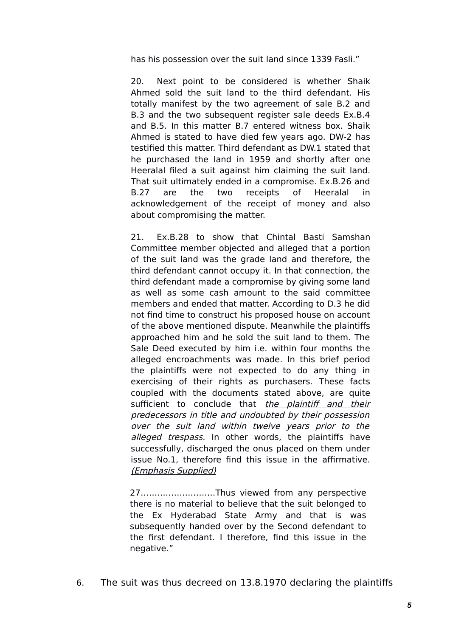has his possession over the suit land since 1339 Fasli."

20. Next point to be considered is whether Shaik Ahmed sold the suit land to the third defendant. His totally manifest by the two agreement of sale B.2 and B.3 and the two subsequent register sale deeds Ex.B.4 and B.5. In this matter B.7 entered witness box. Shaik Ahmed is stated to have died few years ago. DW-2 has testified this matter. Third defendant as DW.1 stated that he purchased the land in 1959 and shortly after one Heeralal filed a suit against him claiming the suit land. That suit ultimately ended in a compromise. Ex.B.26 and B.27 are the two receipts of Heeralal in acknowledgement of the receipt of money and also about compromising the matter.

21. Ex.B.28 to show that Chintal Basti Samshan Committee member objected and alleged that a portion of the suit land was the grade land and therefore, the third defendant cannot occupy it. In that connection, the third defendant made a compromise by giving some land as well as some cash amount to the said committee members and ended that matter. According to D.3 he did not find time to construct his proposed house on account of the above mentioned dispute. Meanwhile the plaintiffs approached him and he sold the suit land to them. The Sale Deed executed by him i.e. within four months the alleged encroachments was made. In this brief period the plaintiffs were not expected to do any thing in exercising of their rights as purchasers. These facts coupled with the documents stated above, are quite sufficient to conclude that the plaintiff and their predecessors in title and undoubted by their possession over the suit land within twelve years prior to the alleged trespass. In other words, the plaintiffs have successfully, discharged the onus placed on them under issue No.1, therefore find this issue in the affirmative. (Emphasis Supplied)

27………………………Thus viewed from any perspective there is no material to believe that the suit belonged to the Ex Hyderabad State Army and that is was subsequently handed over by the Second defendant to the first defendant. I therefore, find this issue in the negative."

6. The suit was thus decreed on 13.8.1970 declaring the plaintiffs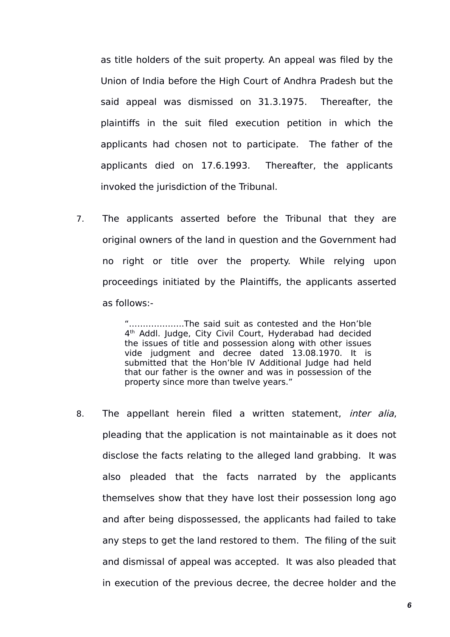as title holders of the suit property. An appeal was filed by the Union of India before the High Court of Andhra Pradesh but the said appeal was dismissed on 31.3.1975. Thereafter, the plaintiffs in the suit filed execution petition in which the applicants had chosen not to participate. The father of the applicants died on 17.6.1993. Thereafter, the applicants invoked the jurisdiction of the Tribunal.

7. The applicants asserted before the Tribunal that they are original owners of the land in question and the Government had no right or title over the property. While relying upon proceedings initiated by the Plaintiffs, the applicants asserted as follows:-

> "………………..The said suit as contested and the Hon'ble 4 th Addl. Judge, City Civil Court, Hyderabad had decided the issues of title and possession along with other issues vide judgment and decree dated 13.08.1970. It is submitted that the Hon'ble IV Additional Judge had held that our father is the owner and was in possession of the property since more than twelve years."

8. The appellant herein filed a written statement, *inter alia*, pleading that the application is not maintainable as it does not disclose the facts relating to the alleged land grabbing. It was also pleaded that the facts narrated by the applicants themselves show that they have lost their possession long ago and after being dispossessed, the applicants had failed to take any steps to get the land restored to them. The filing of the suit and dismissal of appeal was accepted. It was also pleaded that in execution of the previous decree, the decree holder and the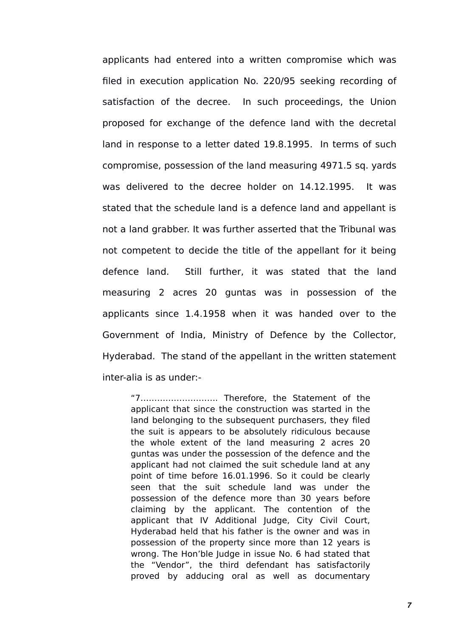applicants had entered into a written compromise which was filed in execution application No. 220/95 seeking recording of satisfaction of the decree. In such proceedings, the Union proposed for exchange of the defence land with the decretal land in response to a letter dated 19.8.1995. In terms of such compromise, possession of the land measuring 4971.5 sq. yards was delivered to the decree holder on 14.12.1995. It was stated that the schedule land is a defence land and appellant is not a land grabber. It was further asserted that the Tribunal was not competent to decide the title of the appellant for it being defence land. Still further, it was stated that the land measuring 2 acres 20 guntas was in possession of the applicants since 1.4.1958 when it was handed over to the Government of India, Ministry of Defence by the Collector, Hyderabad. The stand of the appellant in the written statement inter-alia is as under:-

"7………………………. Therefore, the Statement of the applicant that since the construction was started in the land belonging to the subsequent purchasers, they filed the suit is appears to be absolutely ridiculous because the whole extent of the land measuring 2 acres 20 guntas was under the possession of the defence and the applicant had not claimed the suit schedule land at any point of time before 16.01.1996. So it could be clearly seen that the suit schedule land was under the possession of the defence more than 30 years before claiming by the applicant. The contention of the applicant that IV Additional Judge, City Civil Court, Hyderabad held that his father is the owner and was in possession of the property since more than 12 years is wrong. The Hon'ble Judge in issue No. 6 had stated that the "Vendor", the third defendant has satisfactorily proved by adducing oral as well as documentary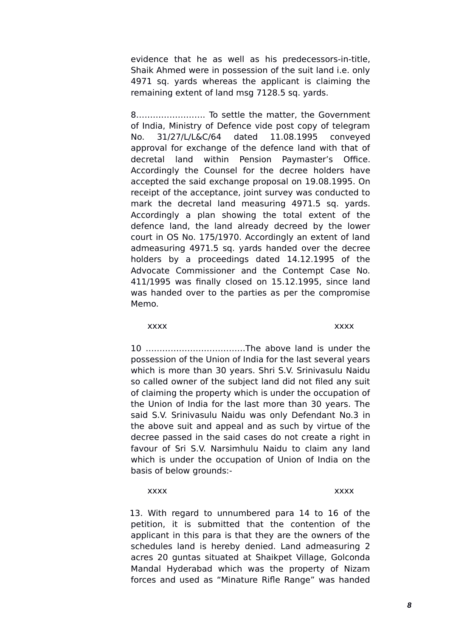evidence that he as well as his predecessors-in-title, Shaik Ahmed were in possession of the suit land i.e. only 4971 sq. yards whereas the applicant is claiming the remaining extent of land msg 7128.5 sq. yards.

8……………………. To settle the matter, the Government of India, Ministry of Defence vide post copy of telegram No. 31/27/L/L&C/64 dated 11.08.1995 conveyed approval for exchange of the defence land with that of decretal land within Pension Paymaster's Office. Accordingly the Counsel for the decree holders have accepted the said exchange proposal on 19.08.1995. On receipt of the acceptance, joint survey was conducted to mark the decretal land measuring 4971.5 sq. yards. Accordingly a plan showing the total extent of the defence land, the land already decreed by the lower court in OS No. 175/1970. Accordingly an extent of land admeasuring 4971.5 sq. yards handed over the decree holders by a proceedings dated 14.12.1995 of the Advocate Commissioner and the Contempt Case No. 411/1995 was finally closed on 15.12.1995, since land was handed over to the parties as per the compromise Memo.

xxxx xxxx xxxxx xxxxx xxxxx xxxx

10 ………………………………The above land is under the possession of the Union of India for the last several years which is more than 30 years. Shri S.V. Srinivasulu Naidu so called owner of the subject land did not filed any suit of claiming the property which is under the occupation of the Union of India for the last more than 30 years. The said S.V. Srinivasulu Naidu was only Defendant No.3 in the above suit and appeal and as such by virtue of the decree passed in the said cases do not create a right in favour of Sri S.V. Narsimhulu Naidu to claim any land which is under the occupation of Union of India on the basis of below grounds:-

#### xxxx xxxx xxxxx xxxxx xxxxx xxxx xxxx

13. With regard to unnumbered para 14 to 16 of the petition, it is submitted that the contention of the applicant in this para is that they are the owners of the schedules land is hereby denied. Land admeasuring 2 acres 20 guntas situated at Shaikpet Village, Golconda Mandal Hyderabad which was the property of Nizam forces and used as "Minature Rifle Range" was handed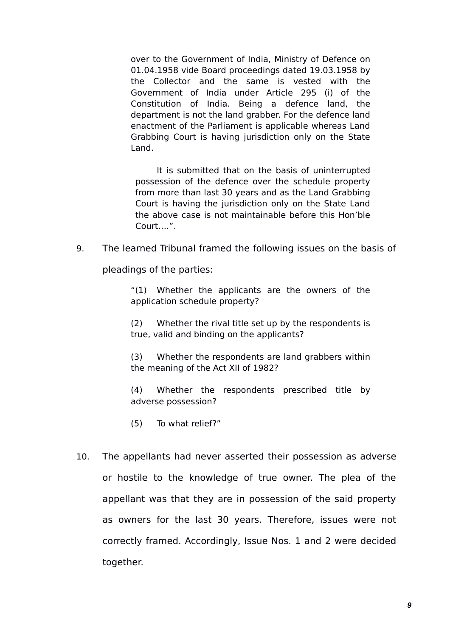over to the Government of India, Ministry of Defence on 01.04.1958 vide Board proceedings dated 19.03.1958 by the Collector and the same is vested with the Government of India under Article 295 (i) of the Constitution of India. Being a defence land, the department is not the land grabber. For the defence land enactment of the Parliament is applicable whereas Land Grabbing Court is having jurisdiction only on the State Land.

It is submitted that on the basis of uninterrupted possession of the defence over the schedule property from more than last 30 years and as the Land Grabbing Court is having the jurisdiction only on the State Land the above case is not maintainable before this Hon'ble Court….".

9. The learned Tribunal framed the following issues on the basis of

pleadings of the parties:

"(1) Whether the applicants are the owners of the application schedule property?

(2) Whether the rival title set up by the respondents is true, valid and binding on the applicants?

(3) Whether the respondents are land grabbers within the meaning of the Act XII of 1982?

(4) Whether the respondents prescribed title by adverse possession?

(5) To what relief?"

10. The appellants had never asserted their possession as adverse or hostile to the knowledge of true owner. The plea of the appellant was that they are in possession of the said property as owners for the last 30 years. Therefore, issues were not correctly framed. Accordingly, Issue Nos. 1 and 2 were decided together.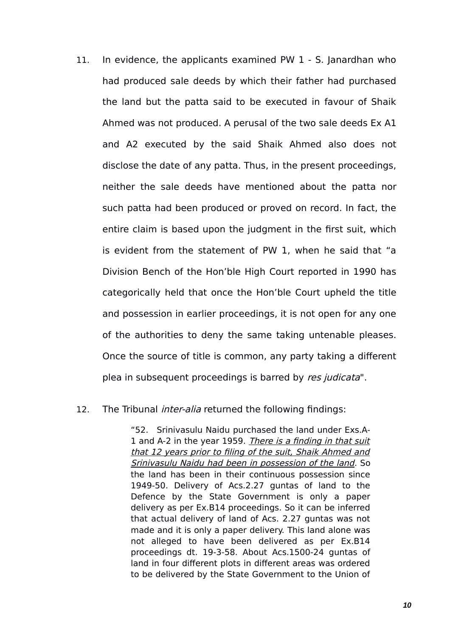11. In evidence, the applicants examined PW 1 - S. Janardhan who had produced sale deeds by which their father had purchased the land but the patta said to be executed in favour of Shaik Ahmed was not produced. A perusal of the two sale deeds Ex A1 and A2 executed by the said Shaik Ahmed also does not disclose the date of any patta. Thus, in the present proceedings, neither the sale deeds have mentioned about the patta nor such patta had been produced or proved on record. In fact, the entire claim is based upon the judgment in the first suit, which is evident from the statement of PW 1, when he said that "a Division Bench of the Hon'ble High Court reported in 1990 has categorically held that once the Hon'ble Court upheld the title and possession in earlier proceedings, it is not open for any one of the authorities to deny the same taking untenable pleases. Once the source of title is common, any party taking a different plea in subsequent proceedings is barred by res judicata".

#### 12. The Tribunal *inter-alia* returned the following findings:

"52. Srinivasulu Naidu purchased the land under Exs.A-1 and A-2 in the year 1959. There is a finding in that suit that 12 years prior to filing of the suit, Shaik Ahmed and Srinivasulu Naidu had been in possession of the land. So the land has been in their continuous possession since 1949-50. Delivery of Acs.2.27 guntas of land to the Defence by the State Government is only a paper delivery as per Ex.B14 proceedings. So it can be inferred that actual delivery of land of Acs. 2.27 guntas was not made and it is only a paper delivery. This land alone was not alleged to have been delivered as per Ex.B14 proceedings dt. 19-3-58. About Acs.1500-24 guntas of land in four different plots in different areas was ordered to be delivered by the State Government to the Union of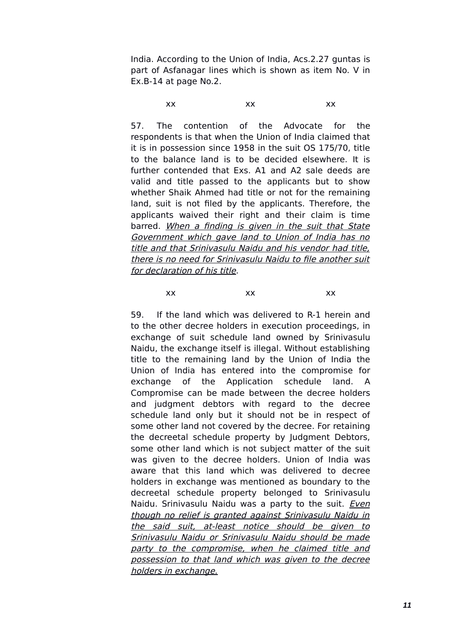India. According to the Union of India, Acs.2.27 guntas is part of Asfanagar lines which is shown as item No. V in Ex.B-14 at page No.2.

xx xx xx

57. The contention of the Advocate for the respondents is that when the Union of India claimed that it is in possession since 1958 in the suit OS 175/70, title to the balance land is to be decided elsewhere. It is further contended that Exs. A1 and A2 sale deeds are valid and title passed to the applicants but to show whether Shaik Ahmed had title or not for the remaining land, suit is not filed by the applicants. Therefore, the applicants waived their right and their claim is time barred. When a finding is given in the suit that State Government which gave land to Union of India has no title and that Srinivasulu Naidu and his vendor had title, there is no need for Srinivasulu Naidu to file another suit for declaration of his title.

xx xx xx

59. If the land which was delivered to R-1 herein and to the other decree holders in execution proceedings, in exchange of suit schedule land owned by Srinivasulu Naidu, the exchange itself is illegal. Without establishing title to the remaining land by the Union of India the Union of India has entered into the compromise for exchange of the Application schedule land. A Compromise can be made between the decree holders and judgment debtors with regard to the decree schedule land only but it should not be in respect of some other land not covered by the decree. For retaining the decreetal schedule property by Judgment Debtors, some other land which is not subject matter of the suit was given to the decree holders. Union of India was aware that this land which was delivered to decree holders in exchange was mentioned as boundary to the decreetal schedule property belonged to Srinivasulu Naidu. Srinivasulu Naidu was a party to the suit. *Even* though no relief is granted against Srinivasulu Naidu in the said suit, at-least notice should be given to Srinivasulu Naidu or Srinivasulu Naidu should be made party to the compromise, when he claimed title and possession to that land which was given to the decree holders in exchange.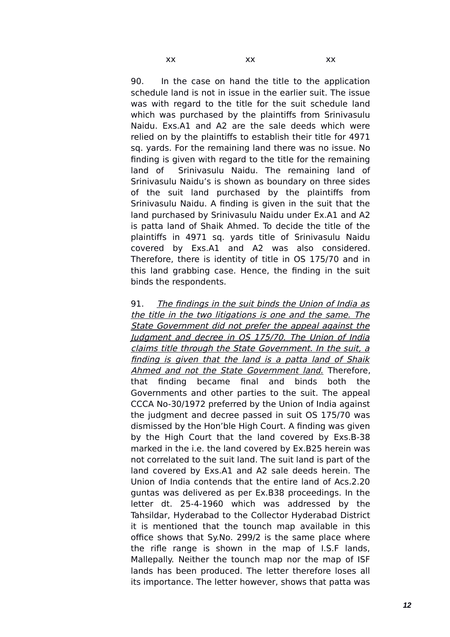90. In the case on hand the title to the application schedule land is not in issue in the earlier suit. The issue was with regard to the title for the suit schedule land which was purchased by the plaintiffs from Srinivasulu Naidu. Exs.A1 and A2 are the sale deeds which were relied on by the plaintiffs to establish their title for 4971 sq. yards. For the remaining land there was no issue. No finding is given with regard to the title for the remaining land of Srinivasulu Naidu. The remaining land of Srinivasulu Naidu's is shown as boundary on three sides of the suit land purchased by the plaintiffs from Srinivasulu Naidu. A finding is given in the suit that the land purchased by Srinivasulu Naidu under Ex.A1 and A2 is patta land of Shaik Ahmed. To decide the title of the plaintiffs in 4971 sq. yards title of Srinivasulu Naidu covered by Exs.A1 and A2 was also considered. Therefore, there is identity of title in OS 175/70 and in this land grabbing case. Hence, the finding in the suit binds the respondents.

91. The findings in the suit binds the Union of India as the title in the two litigations is one and the same. The State Government did not prefer the appeal against the Judgment and decree in OS 175/70. The Union of India claims title through the State Government. In the suit, a finding is given that the land is a patta land of Shaik Ahmed and not the State Government land. Therefore, that finding became final and binds both the Governments and other parties to the suit. The appeal CCCA No-30/1972 preferred by the Union of India against the judgment and decree passed in suit OS 175/70 was dismissed by the Hon'ble High Court. A finding was given by the High Court that the land covered by Exs.B-38 marked in the i.e. the land covered by Ex.B25 herein was not correlated to the suit land. The suit land is part of the land covered by Exs.A1 and A2 sale deeds herein. The Union of India contends that the entire land of Acs.2.20 guntas was delivered as per Ex.B38 proceedings. In the letter dt. 25-4-1960 which was addressed by the Tahsildar, Hyderabad to the Collector Hyderabad District it is mentioned that the tounch map available in this office shows that Sy.No. 299/2 is the same place where the rifle range is shown in the map of I.S.F lands, Mallepally. Neither the tounch map nor the map of ISF lands has been produced. The letter therefore loses all its importance. The letter however, shows that patta was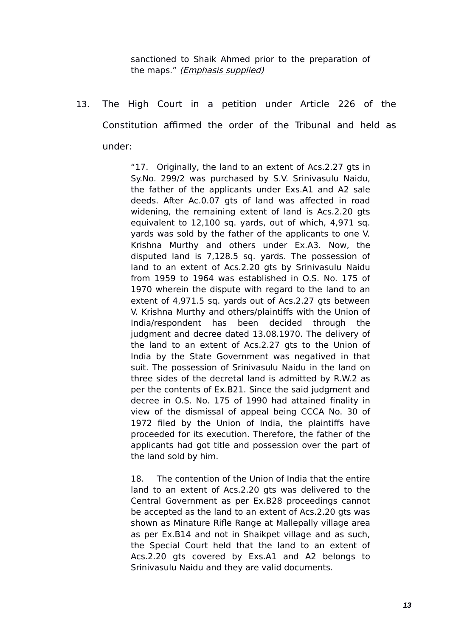sanctioned to Shaik Ahmed prior to the preparation of the maps." (*Emphasis supplied*)

13. The High Court in a petition under Article 226 of the Constitution affirmed the order of the Tribunal and held as under:

> "17. Originally, the land to an extent of Acs.2.27 gts in Sy.No. 299/2 was purchased by S.V. Srinivasulu Naidu, the father of the applicants under Exs.A1 and A2 sale deeds. After Ac.0.07 gts of land was affected in road widening, the remaining extent of land is Acs. 2.20 gts equivalent to 12,100 sq. yards, out of which, 4,971 sq. yards was sold by the father of the applicants to one V. Krishna Murthy and others under Ex.A3. Now, the disputed land is 7,128.5 sq. yards. The possession of land to an extent of Acs.2.20 gts by Srinivasulu Naidu from 1959 to 1964 was established in O.S. No. 175 of 1970 wherein the dispute with regard to the land to an extent of 4,971.5 sq. yards out of Acs.2.27 gts between V. Krishna Murthy and others/plaintiffs with the Union of India/respondent has been decided through the judgment and decree dated 13.08.1970. The delivery of the land to an extent of Acs.2.27 gts to the Union of India by the State Government was negatived in that suit. The possession of Srinivasulu Naidu in the land on three sides of the decretal land is admitted by R.W.2 as per the contents of Ex.B21. Since the said judgment and decree in O.S. No. 175 of 1990 had attained finality in view of the dismissal of appeal being CCCA No. 30 of 1972 filed by the Union of India, the plaintiffs have proceeded for its execution. Therefore, the father of the applicants had got title and possession over the part of the land sold by him.

> 18. The contention of the Union of India that the entire land to an extent of Acs.2.20 gts was delivered to the Central Government as per Ex.B28 proceedings cannot be accepted as the land to an extent of Acs.2.20 gts was shown as Minature Rifle Range at Mallepally village area as per Ex.B14 and not in Shaikpet village and as such, the Special Court held that the land to an extent of Acs.2.20 gts covered by Exs.A1 and A2 belongs to Srinivasulu Naidu and they are valid documents.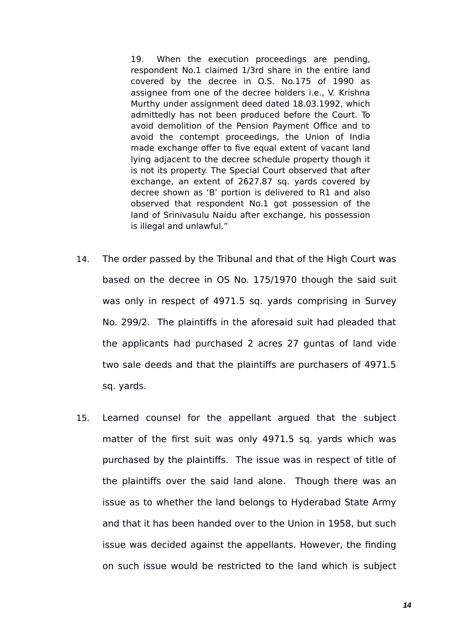19. When the execution proceedings are pending, respondent No.1 claimed 1/3rd share in the entire land covered by the decree in O.S. No.175 of 1990 as assignee from one of the decree holders i.e., V. Krishna Murthy under assignment deed dated 18.03.1992, which admittedly has not been produced before the Court. To avoid demolition of the Pension Payment Office and to avoid the contempt proceedings, the Union of India made exchange offer to five equal extent of vacant land lying adjacent to the decree schedule property though it is not its property. The Special Court observed that after exchange, an extent of 2627.87 sq. yards covered by decree shown as 'B' portion is delivered to R1 and also observed that respondent No.1 got possession of the land of Srinivasulu Naidu after exchange, his possession is illegal and unlawful."

- 14. The order passed by the Tribunal and that of the High Court was based on the decree in OS No. 175/1970 though the said suit was only in respect of 4971.5 sq. yards comprising in Survey No. 299/2. The plaintiffs in the aforesaid suit had pleaded that the applicants had purchased 2 acres 27 guntas of land vide two sale deeds and that the plaintiffs are purchasers of 4971.5 sq. yards.
- 15. Learned counsel for the appellant argued that the subject matter of the first suit was only 4971.5 sq. yards which was purchased by the plaintiffs. The issue was in respect of title of the plaintiffs over the said land alone. Though there was an issue as to whether the land belongs to Hyderabad State Army and that it has been handed over to the Union in 1958, but such issue was decided against the appellants. However, the finding on such issue would be restricted to the land which is subject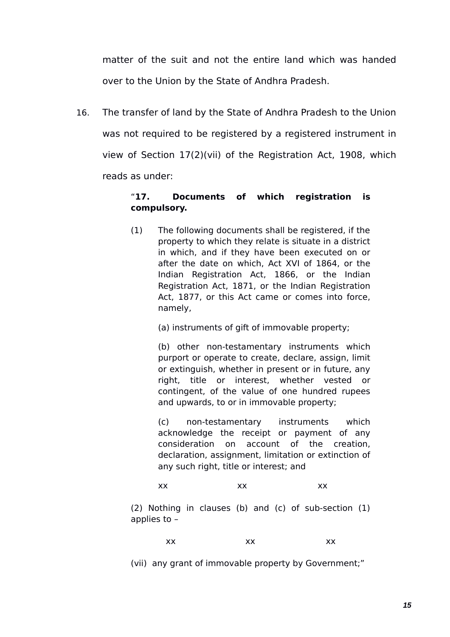matter of the suit and not the entire land which was handed over to the Union by the State of Andhra Pradesh.

16. The transfer of land by the State of Andhra Pradesh to the Union was not required to be registered by a registered instrument in view of Section 17(2)(vii) of the Registration Act, 1908, which reads as under:

# "**17. Documents of which registration is compulsory.**

(1) The following documents shall be registered, if the property to which they relate is situate in a district in which, and if they have been executed on or after the date on which, Act XVI of 1864, or the Indian Registration Act, 1866, or the Indian Registration Act, 1871, or the Indian Registration Act, 1877, or this Act came or comes into force, namely,

(a) instruments of gift of immovable property;

(b) other non-testamentary instruments which purport or operate to create, declare, assign, limit or extinguish, whether in present or in future, any right, title or interest, whether vested or contingent, of the value of one hundred rupees and upwards, to or in immovable property;

(c) non-testamentary instruments which acknowledge the receipt or payment of any consideration on account of the creation, declaration, assignment, limitation or extinction of any such right, title or interest; and

#### xx xx xx

(2) Nothing in clauses (b) and (c) of sub-section (1) applies to –

$$
XX \hspace{1.5cm} XX \hspace{1.5cm} XX
$$

(vii) any grant of immovable property by Government;"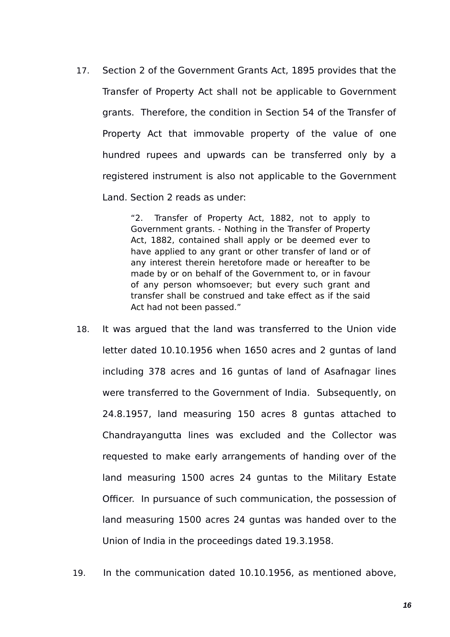17. Section 2 of the Government Grants Act, 1895 provides that the Transfer of Property Act shall not be applicable to Government grants. Therefore, the condition in Section 54 of the Transfer of Property Act that immovable property of the value of one hundred rupees and upwards can be transferred only by a registered instrument is also not applicable to the Government Land. Section 2 reads as under:

> "2. Transfer of Property Act, 1882, not to apply to Government grants. - Nothing in the Transfer of Property Act, 1882, contained shall apply or be deemed ever to have applied to any grant or other transfer of land or of any interest therein heretofore made or hereafter to be made by or on behalf of the Government to, or in favour of any person whomsoever; but every such grant and transfer shall be construed and take effect as if the said Act had not been passed."

- 18. It was argued that the land was transferred to the Union vide letter dated 10.10.1956 when 1650 acres and 2 guntas of land including 378 acres and 16 guntas of land of Asafnagar lines were transferred to the Government of India. Subsequently, on 24.8.1957, land measuring 150 acres 8 guntas attached to Chandrayangutta lines was excluded and the Collector was requested to make early arrangements of handing over of the land measuring 1500 acres 24 guntas to the Military Estate Officer. In pursuance of such communication, the possession of land measuring 1500 acres 24 guntas was handed over to the Union of India in the proceedings dated 19.3.1958.
- 19. In the communication dated 10.10.1956, as mentioned above,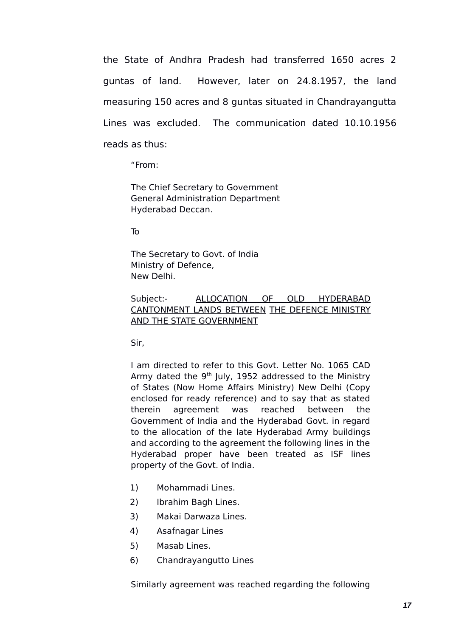the State of Andhra Pradesh had transferred 1650 acres 2 guntas of land. However, later on 24.8.1957, the land measuring 150 acres and 8 guntas situated in Chandrayangutta Lines was excluded. The communication dated 10.10.1956 reads as thus:

"From:

The Chief Secretary to Government General Administration Department Hyderabad Deccan.

To

The Secretary to Govt. of India Ministry of Defence, New Delhi.

#### Subject:- ALLOCATION OF OLD HYDERABAD CANTONMENT LANDS BETWEEN THE DEFENCE MINISTRY AND THE STATE GOVERNMENT

Sir,

I am directed to refer to this Govt. Letter No. 1065 CAD Army dated the  $9<sup>th</sup>$  July, 1952 addressed to the Ministrv of States (Now Home Affairs Ministry) New Delhi (Copy enclosed for ready reference) and to say that as stated therein agreement was reached between the Government of India and the Hyderabad Govt. in regard to the allocation of the late Hyderabad Army buildings and according to the agreement the following lines in the Hyderabad proper have been treated as ISF lines property of the Govt. of India.

- 1) Mohammadi Lines.
- 2) Ibrahim Bagh Lines.
- 3) Makai Darwaza Lines.
- 4) Asafnagar Lines
- 5) Masab Lines.
- 6) Chandrayangutto Lines

Similarly agreement was reached regarding the following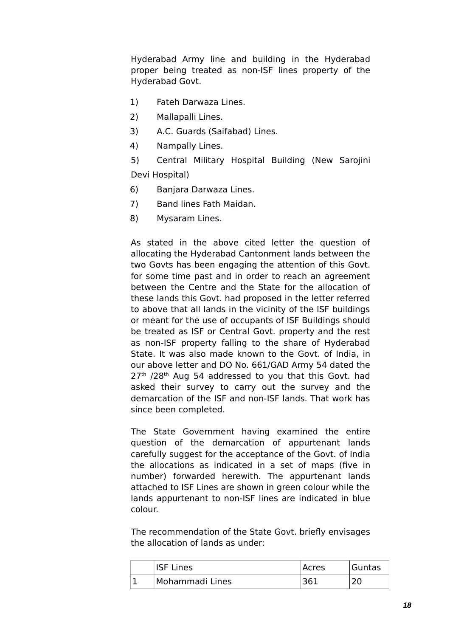Hyderabad Army line and building in the Hyderabad proper being treated as non-ISF lines property of the Hyderabad Govt.

- 1) Fateh Darwaza Lines.
- 2) Mallapalli Lines.
- 3) A.C. Guards (Saifabad) Lines.
- 4) Nampally Lines.
- 5) Central Military Hospital Building (New Sarojini Devi Hospital)
- 6) Banjara Darwaza Lines.
- 7) Band lines Fath Maidan.
- 8) Mysaram Lines.

As stated in the above cited letter the question of allocating the Hyderabad Cantonment lands between the two Govts has been engaging the attention of this Govt. for some time past and in order to reach an agreement between the Centre and the State for the allocation of these lands this Govt. had proposed in the letter referred to above that all lands in the vicinity of the ISF buildings or meant for the use of occupants of ISF Buildings should be treated as ISF or Central Govt. property and the rest as non-ISF property falling to the share of Hyderabad State. It was also made known to the Govt. of India, in our above letter and DO No. 661/GAD Army 54 dated the  $27<sup>th</sup>$  /28<sup>th</sup> Aug 54 addressed to you that this Govt. had asked their survey to carry out the survey and the demarcation of the ISF and non-ISF lands. That work has since been completed.

The State Government having examined the entire question of the demarcation of appurtenant lands carefully suggest for the acceptance of the Govt. of India the allocations as indicated in a set of maps (five in number) forwarded herewith. The appurtenant lands attached to ISF Lines are shown in green colour while the lands appurtenant to non-ISF lines are indicated in blue colour.

The recommendation of the State Govt. briefly envisages the allocation of lands as under:

|  | <b>ISF Lines</b> | Acres | Guntas |
|--|------------------|-------|--------|
|  | Mohammadi Lines  | 361   |        |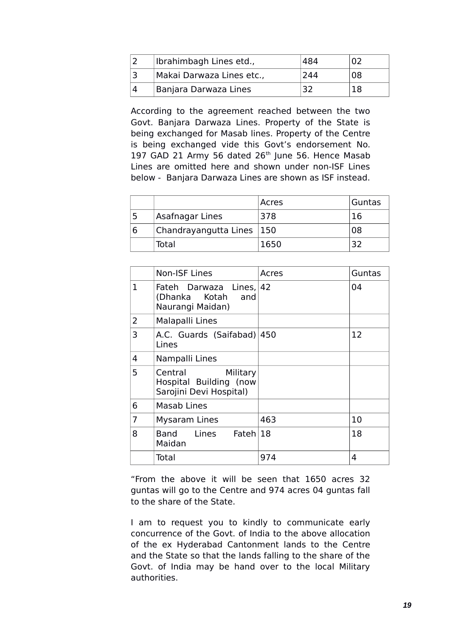| Ibrahimbagh Lines etd.,   | 484 | N2 |
|---------------------------|-----|----|
| Makai Darwaza Lines etc., | 244 | 08 |
| Banjara Darwaza Lines     | 32  | 18 |

According to the agreement reached between the two Govt. Banjara Darwaza Lines. Property of the State is being exchanged for Masab lines. Property of the Centre is being exchanged vide this Govt's endorsement No. 197 GAD 21 Army 56 dated  $26<sup>th</sup>$  June 56. Hence Masab Lines are omitted here and shown under non-ISF Lines below - Banjara Darwaza Lines are shown as ISF instead.

|                             | Acres | Guntas |
|-----------------------------|-------|--------|
| Asafnagar Lines             | 378   | 16     |
| Chandrayangutta Lines   150 |       | 08     |
| Total                       | 1650  |        |

|                | <b>Non-ISF Lines</b>                                                     | Acres | Guntas |
|----------------|--------------------------------------------------------------------------|-------|--------|
| $\mathbf{1}$   | Fateh Darwaza Lines, 42<br>and<br>(Dhanka Kotah<br>Naurangi Maidan)      |       | 04     |
| 2              | Malapalli Lines                                                          |       |        |
| 3              | A.C. Guards (Saifabad) 450<br>Lines                                      |       | 12     |
| 4              | Nampalli Lines                                                           |       |        |
| 5              | Central<br>Military<br>Hospital Building (now<br>Sarojini Devi Hospital) |       |        |
| 6              | Masab Lines                                                              |       |        |
| $\overline{7}$ | <b>Mysaram Lines</b>                                                     | 463   | 10     |
| 8              | Band Lines Fateh 18<br>Maidan                                            |       | 18     |
|                | Total                                                                    | 974   | 4      |

"From the above it will be seen that 1650 acres 32 guntas will go to the Centre and 974 acres 04 guntas fall to the share of the State.

I am to request you to kindly to communicate early concurrence of the Govt. of India to the above allocation of the ex Hyderabad Cantonment lands to the Centre and the State so that the lands falling to the share of the Govt. of India may be hand over to the local Military authorities.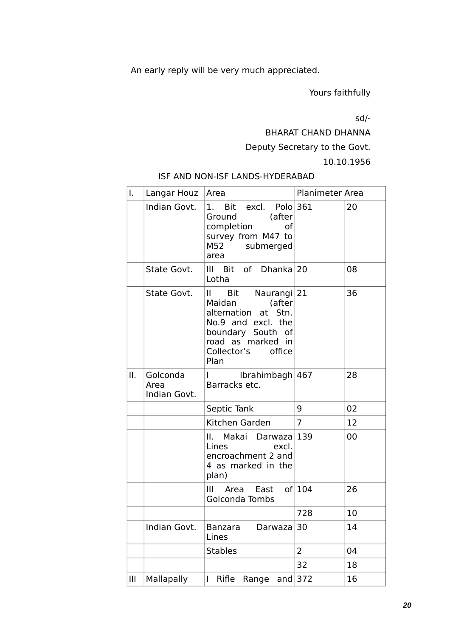An early reply will be very much appreciated.

Yours faithfully

sd/-

BHARAT CHAND DHANNA

Deputy Secretary to the Govt.

10.10.1956

# ISF AND NON-ISF LANDS-HYDERABAD

| I.  | Langar Houz                      | Area                                                                                                                                                                        | Planimeter Area |    |
|-----|----------------------------------|-----------------------------------------------------------------------------------------------------------------------------------------------------------------------------|-----------------|----|
|     | Indian Govt.                     | 1. Bit excl. Polo 361<br>(after<br>Ground<br>completion<br>οf<br>survey from M47 to<br>M52 submerged<br>area                                                                |                 | 20 |
|     | State Govt.                      | III Bit of Dhanka 20<br>Lotha                                                                                                                                               |                 | 08 |
|     | State Govt.                      | Bit Naurangi 21<br>$\mathbf{H}$<br>(after<br>Maidan<br>alternation at Stn.<br>No.9 and excl. the<br>boundary South of<br>road as marked in<br>Collector's<br>office<br>Plan |                 | 36 |
| ΙΙ. | Golconda<br>Area<br>Indian Govt. | Ibrahimbagh $ 467$<br>Barracks etc.                                                                                                                                         |                 | 28 |
|     |                                  | Septic Tank                                                                                                                                                                 | 9               | 02 |
|     |                                  | Kitchen Garden                                                                                                                                                              | $\overline{7}$  | 12 |
|     |                                  | II. Makai Darwaza 139<br>Lines<br>excl.<br>encroachment 2 and<br>4 as marked in the<br>plan)                                                                                |                 | 00 |
|     |                                  | III Area East of 104<br>Golconda Tombs                                                                                                                                      |                 | 26 |
|     |                                  |                                                                                                                                                                             | 728             | 10 |
|     | Indian Govt.                     | Banzara<br>Darwaza<br>Lines                                                                                                                                                 | 30              | 14 |
|     |                                  | <b>Stables</b>                                                                                                                                                              | $\overline{2}$  | 04 |
|     |                                  |                                                                                                                                                                             | 32              | 18 |
| Ш   | Mallapally                       | Rifle<br>Range<br>and<br>I                                                                                                                                                  | 372             | 16 |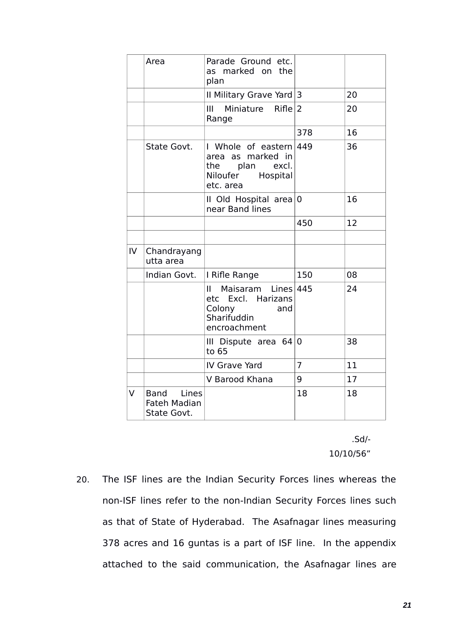|    | Area                                             | Parade Ground etc.<br>as marked on the<br>plan                                                       |                |    |
|----|--------------------------------------------------|------------------------------------------------------------------------------------------------------|----------------|----|
|    |                                                  | Il Military Grave Yard $ 3 $                                                                         |                | 20 |
|    |                                                  | Miniature $Rifle 2$<br>Ш<br>Range                                                                    |                | 20 |
|    |                                                  |                                                                                                      | 378            | 16 |
|    | State Govt.                                      | I Whole of eastern $449$<br>area as marked in<br>plan excl.<br>the<br>Niloufer Hospital<br>etc. area |                | 36 |
|    |                                                  | II Old Hospital area $ 0 $<br>near Band lines                                                        |                | 16 |
|    |                                                  |                                                                                                      | 450            | 12 |
|    |                                                  |                                                                                                      |                |    |
| IV | Chandrayang<br>utta area                         |                                                                                                      |                |    |
|    | Indian Govt.                                     | I Rifle Range                                                                                        | 150            | 08 |
|    |                                                  | Maisaram Lines 445<br>II.<br>etc Excl. Harizans<br>Colony<br>and<br>Sharifuddin<br>encroachment      |                | 24 |
|    |                                                  | III Dispute area $64 0$<br>to 65                                                                     |                | 38 |
|    |                                                  | IV Grave Yard                                                                                        | $\overline{7}$ | 11 |
|    |                                                  | V Barood Khana                                                                                       | 9              | 17 |
| V  | Band Lines<br><b>Fateh Madian</b><br>State Govt. |                                                                                                      | 18             | 18 |

.Sd/- 10/10/56"

20. The ISF lines are the Indian Security Forces lines whereas the non-ISF lines refer to the non-Indian Security Forces lines such as that of State of Hyderabad. The Asafnagar lines measuring 378 acres and 16 guntas is a part of ISF line. In the appendix attached to the said communication, the Asafnagar lines are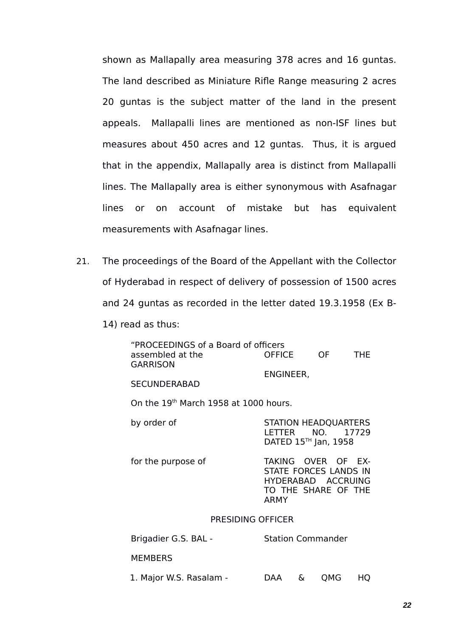shown as Mallapally area measuring 378 acres and 16 guntas. The land described as Miniature Rifle Range measuring 2 acres 20 guntas is the subject matter of the land in the present appeals. Mallapalli lines are mentioned as non-ISF lines but measures about 450 acres and 12 guntas. Thus, it is argued that in the appendix, Mallapally area is distinct from Mallapalli lines. The Mallapally area is either synonymous with Asafnagar lines or on account of mistake but has equivalent measurements with Asafnagar lines.

- 21. The proceedings of the Board of the Appellant with the Collector of Hyderabad in respect of delivery of possession of 1500 acres and 24 guntas as recorded in the letter dated 19.3.1958 (Ex B-
	- 14) read as thus:

| "PROCEEDINGS of a Board of officers<br>assembled at the<br><b>GARRISON</b> | <b>OFFICE</b>                                                                                           |   | OF a                                                            | THE. |  |
|----------------------------------------------------------------------------|---------------------------------------------------------------------------------------------------------|---|-----------------------------------------------------------------|------|--|
| <b>SECUNDERABAD</b>                                                        | ENGINEER,                                                                                               |   |                                                                 |      |  |
| On the 19th March 1958 at 1000 hours.                                      |                                                                                                         |   |                                                                 |      |  |
| by order of                                                                | I FTTFR                                                                                                 |   | <b>STATION HEADQUARTERS</b><br>NO. 17729<br>DATED 15™ Jan, 1958 |      |  |
| for the purpose of                                                         | TAKING OVER OF EX-<br>STATE FORCES LANDS IN<br>HYDERABAD ACCRUING<br>TO THE SHARE OF THE<br><b>ARMY</b> |   |                                                                 |      |  |
| PRESIDING OFFICER                                                          |                                                                                                         |   |                                                                 |      |  |
| Brigadier G.S. BAL -                                                       |                                                                                                         |   | <b>Station Commander</b>                                        |      |  |
| <b>MEMBERS</b>                                                             |                                                                                                         |   |                                                                 |      |  |
| 1. Major W.S. Rasalam -                                                    | DAA                                                                                                     | & | QMG                                                             | HQ   |  |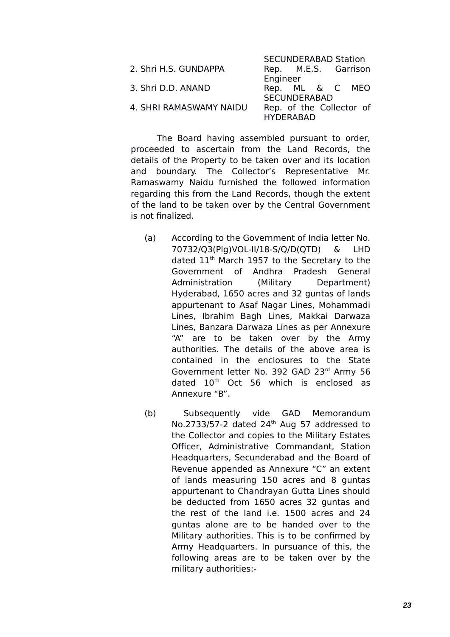|                         | <b>SECUNDERABAD Station</b> |  |  |  |  |
|-------------------------|-----------------------------|--|--|--|--|
| 2. Shri H.S. GUNDAPPA   | Rep. M.E.S. Garrison        |  |  |  |  |
|                         | Engineer                    |  |  |  |  |
| 3. Shri D.D. ANAND      | Rep. ML & C MEO             |  |  |  |  |
|                         | <b>SECUNDERABAD</b>         |  |  |  |  |
| 4. SHRI RAMASWAMY NAIDU | Rep. of the Collector of    |  |  |  |  |
|                         | <b>HYDERABAD</b>            |  |  |  |  |

The Board having assembled pursuant to order, proceeded to ascertain from the Land Records, the details of the Property to be taken over and its location and boundary. The Collector's Representative Mr. Ramaswamy Naidu furnished the followed information regarding this from the Land Records, though the extent of the land to be taken over by the Central Government is not finalized.

- (a) According to the Government of India letter No. 70732/Q3(Plg)VOL-II/18-S/Q/D(QTD) & LHD dated 11<sup>th</sup> March 1957 to the Secretary to the Government of Andhra Pradesh General Administration (Military Department) Hyderabad, 1650 acres and 32 guntas of lands appurtenant to Asaf Nagar Lines, Mohammadi Lines, Ibrahim Bagh Lines, Makkai Darwaza Lines, Banzara Darwaza Lines as per Annexure "A" are to be taken over by the Army authorities. The details of the above area is contained in the enclosures to the State Government letter No. 392 GAD 23rd Army 56 dated 10<sup>th</sup> Oct 56 which is enclosed as Annexure "B".
- (b) Subsequently vide GAD Memorandum No.2733/57-2 dated 24<sup>th</sup> Aug 57 addressed to the Collector and copies to the Military Estates Officer, Administrative Commandant, Station Headquarters, Secunderabad and the Board of Revenue appended as Annexure "C" an extent of lands measuring 150 acres and 8 guntas appurtenant to Chandrayan Gutta Lines should be deducted from 1650 acres 32 guntas and the rest of the land i.e. 1500 acres and 24 guntas alone are to be handed over to the Military authorities. This is to be confirmed by Army Headquarters. In pursuance of this, the following areas are to be taken over by the military authorities:-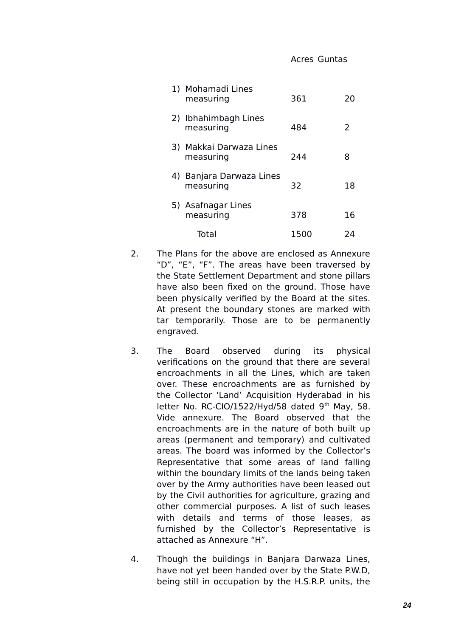| 1) Mohamadi Lines<br>measuring        | 361  | 20 |
|---------------------------------------|------|----|
| 2) Ibhahimbagh Lines<br>measuring     | 484  | 2  |
| 3) Makkai Darwaza Lines<br>measuring  | 244  | 8  |
| 4) Banjara Darwaza Lines<br>measuring | 32   | 18 |
| 5) Asafnagar Lines<br>measuring       | 378  | 16 |
| Total                                 | 1500 | 24 |

- 2. The Plans for the above are enclosed as Annexure "D", "E", "F". The areas have been traversed by the State Settlement Department and stone pillars have also been fixed on the ground. Those have been physically verified by the Board at the sites. At present the boundary stones are marked with tar temporarily. Those are to be permanently engraved.
- 3. The Board observed during its physical verifications on the ground that there are several encroachments in all the Lines, which are taken over. These encroachments are as furnished by the Collector 'Land' Acquisition Hyderabad in his letter No. RC-CIO/1522/Hyd/58 dated  $9<sup>th</sup>$  May, 58. Vide annexure. The Board observed that the encroachments are in the nature of both built up areas (permanent and temporary) and cultivated areas. The board was informed by the Collector's Representative that some areas of land falling within the boundary limits of the lands being taken over by the Army authorities have been leased out by the Civil authorities for agriculture, grazing and other commercial purposes. A list of such leases with details and terms of those leases, as furnished by the Collector's Representative is attached as Annexure "H".
- 4. Though the buildings in Banjara Darwaza Lines, have not yet been handed over by the State P.W.D, being still in occupation by the H.S.R.P. units, the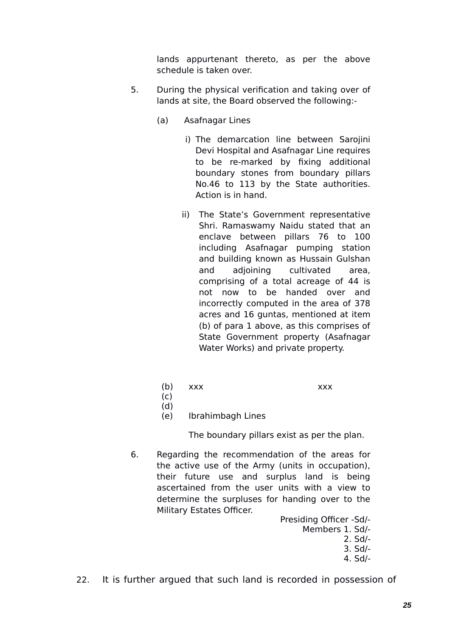lands appurtenant thereto, as per the above schedule is taken over.

- 5. During the physical verification and taking over of lands at site, the Board observed the following:-
	- (a) Asafnagar Lines
		- i) The demarcation line between Sarojini Devi Hospital and Asafnagar Line requires to be re-marked by fixing additional boundary stones from boundary pillars No.46 to 113 by the State authorities. Action is in hand.
		- ii) The State's Government representative Shri. Ramaswamy Naidu stated that an enclave between pillars 76 to 100 including Asafnagar pumping station and building known as Hussain Gulshan and adjoining cultivated area, comprising of a total acreage of 44 is not now to be handed over and incorrectly computed in the area of 378 acres and 16 guntas, mentioned at item (b) of para 1 above, as this comprises of State Government property (Asafnagar Water Works) and private property.
		- (b) xxx xxx

- $(c)$ (d)
- (e) Ibrahimbagh Lines

The boundary pillars exist as per the plan.

6. Regarding the recommendation of the areas for the active use of the Army (units in occupation), their future use and surplus land is being ascertained from the user units with a view to determine the surpluses for handing over to the Military Estates Officer.

> Presiding Officer -Sd/- Members 1. Sd/- 2. Sd/- 3. Sd/- 4. Sd/-

22. It is further argued that such land is recorded in possession of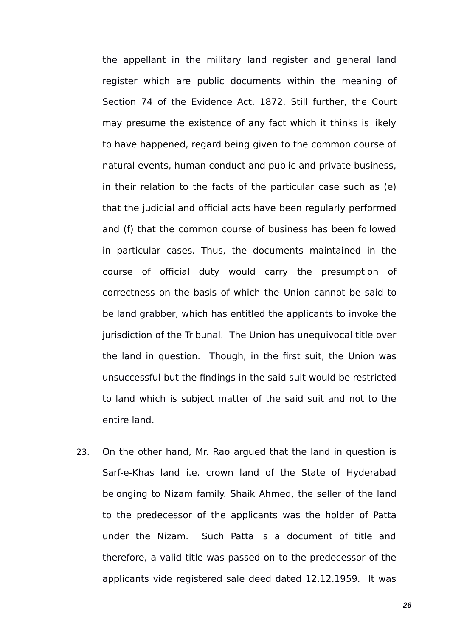the appellant in the military land register and general land register which are public documents within the meaning of Section 74 of the Evidence Act, 1872. Still further, the Court may presume the existence of any fact which it thinks is likely to have happened, regard being given to the common course of natural events, human conduct and public and private business, in their relation to the facts of the particular case such as (e) that the judicial and official acts have been regularly performed and (f) that the common course of business has been followed in particular cases. Thus, the documents maintained in the course of official duty would carry the presumption of correctness on the basis of which the Union cannot be said to be land grabber, which has entitled the applicants to invoke the jurisdiction of the Tribunal. The Union has unequivocal title over the land in question. Though, in the first suit, the Union was unsuccessful but the findings in the said suit would be restricted to land which is subject matter of the said suit and not to the entire land.

23. On the other hand, Mr. Rao argued that the land in question is Sarf-e-Khas land i.e. crown land of the State of Hyderabad belonging to Nizam family. Shaik Ahmed, the seller of the land to the predecessor of the applicants was the holder of Patta under the Nizam. Such Patta is a document of title and therefore, a valid title was passed on to the predecessor of the applicants vide registered sale deed dated 12.12.1959. It was

*26*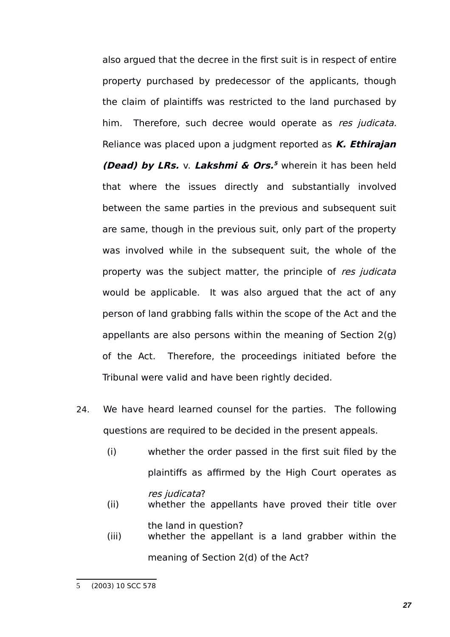also argued that the decree in the first suit is in respect of entire property purchased by predecessor of the applicants, though the claim of plaintiffs was restricted to the land purchased by him. Therefore, such decree would operate as res judicata. Reliance was placed upon a judgment reported as **K. Ethirajan (Dead) by LRs.** v. **Lakshmi & Ors. [5](#page-26-0)** wherein it has been held that where the issues directly and substantially involved between the same parties in the previous and subsequent suit are same, though in the previous suit, only part of the property was involved while in the subsequent suit, the whole of the property was the subject matter, the principle of res judicata would be applicable. It was also argued that the act of any person of land grabbing falls within the scope of the Act and the appellants are also persons within the meaning of Section 2(g) of the Act. Therefore, the proceedings initiated before the Tribunal were valid and have been rightly decided.

- 24. We have heard learned counsel for the parties. The following questions are required to be decided in the present appeals.
	- (i) whether the order passed in the first suit filed by the plaintiffs as affirmed by the High Court operates as res judicata?
	- (ii) whether the appellants have proved their title over the land in question?
	- (iii) whether the appellant is a land grabber within the meaning of Section 2(d) of the Act?

<span id="page-26-0"></span><sup>5</sup> (2003) 10 SCC 578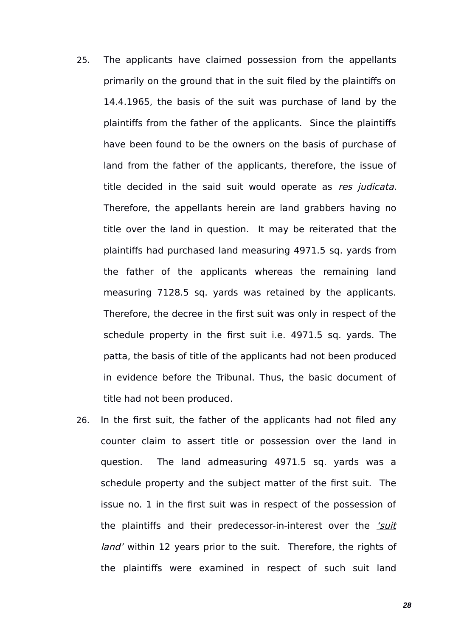- 25. The applicants have claimed possession from the appellants primarily on the ground that in the suit filed by the plaintiffs on 14.4.1965, the basis of the suit was purchase of land by the plaintiffs from the father of the applicants. Since the plaintiffs have been found to be the owners on the basis of purchase of land from the father of the applicants, therefore, the issue of title decided in the said suit would operate as res judicata. Therefore, the appellants herein are land grabbers having no title over the land in question. It may be reiterated that the plaintiffs had purchased land measuring 4971.5 sq. yards from the father of the applicants whereas the remaining land measuring 7128.5 sq. yards was retained by the applicants. Therefore, the decree in the first suit was only in respect of the schedule property in the first suit i.e. 4971.5 sq. yards. The patta, the basis of title of the applicants had not been produced in evidence before the Tribunal. Thus, the basic document of title had not been produced.
- 26. In the first suit, the father of the applicants had not filed any counter claim to assert title or possession over the land in question. The land admeasuring 4971.5 sq. yards was a schedule property and the subject matter of the first suit. The issue no. 1 in the first suit was in respect of the possession of the plaintiffs and their predecessor-in-interest over the 'suit land' within 12 years prior to the suit. Therefore, the rights of the plaintiffs were examined in respect of such suit land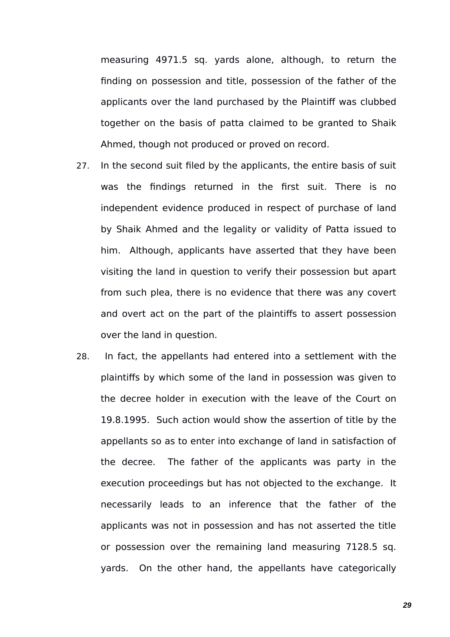measuring 4971.5 sq. yards alone, although, to return the finding on possession and title, possession of the father of the applicants over the land purchased by the Plaintiff was clubbed together on the basis of patta claimed to be granted to Shaik Ahmed, though not produced or proved on record.

- 27. In the second suit filed by the applicants, the entire basis of suit was the findings returned in the first suit. There is no independent evidence produced in respect of purchase of land by Shaik Ahmed and the legality or validity of Patta issued to him. Although, applicants have asserted that they have been visiting the land in question to verify their possession but apart from such plea, there is no evidence that there was any covert and overt act on the part of the plaintiffs to assert possession over the land in question.
- 28. In fact, the appellants had entered into a settlement with the plaintiffs by which some of the land in possession was given to the decree holder in execution with the leave of the Court on 19.8.1995. Such action would show the assertion of title by the appellants so as to enter into exchange of land in satisfaction of the decree. The father of the applicants was party in the execution proceedings but has not objected to the exchange. It necessarily leads to an inference that the father of the applicants was not in possession and has not asserted the title or possession over the remaining land measuring 7128.5 sq. yards. On the other hand, the appellants have categorically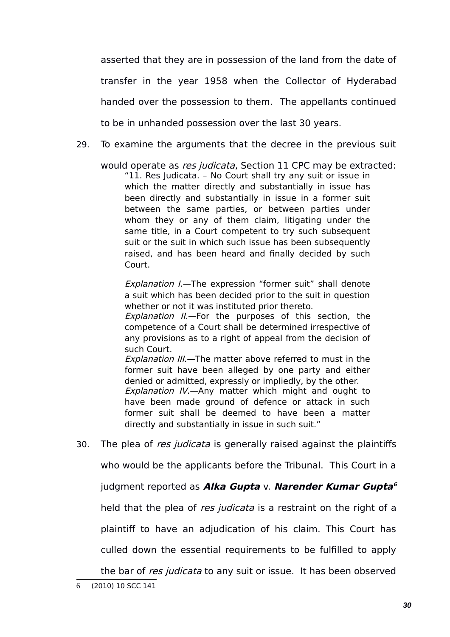asserted that they are in possession of the land from the date of transfer in the year 1958 when the Collector of Hyderabad handed over the possession to them. The appellants continued to be in unhanded possession over the last 30 years.

29. To examine the arguments that the decree in the previous suit

would operate as res judicata, Section 11 CPC may be extracted: "11. Res Judicata. – No Court shall try any suit or issue in which the matter directly and substantially in issue has been directly and substantially in issue in a former suit between the same parties, or between parties under whom they or any of them claim, litigating under the same title, in a Court competent to try such subsequent suit or the suit in which such issue has been subsequently raised, and has been heard and finally decided by such Court.

Explanation I.-The expression "former suit" shall denote a suit which has been decided prior to the suit in question whether or not it was instituted prior thereto.

Explanation II.—For the purposes of this section, the competence of a Court shall be determined irrespective of any provisions as to a right of appeal from the decision of such Court.

Explanation III.—The matter above referred to must in the former suit have been alleged by one party and either denied or admitted, expressly or impliedly, by the other. Explanation IV.—Any matter which might and ought to have been made ground of defence or attack in such former suit shall be deemed to have been a matter directly and substantially in issue in such suit."

30. The plea of res judicata is generally raised against the plaintiffs who would be the applicants before the Tribunal. This Court in a judgment reported as **Alka Gupta** v. **Narender Kumar Gupta [6](#page-29-0)** held that the plea of res judicata is a restraint on the right of a plaintiff to have an adjudication of his claim. This Court has

culled down the essential requirements to be fulfilled to apply

<span id="page-29-0"></span>the bar of res judicata to any suit or issue. It has been observed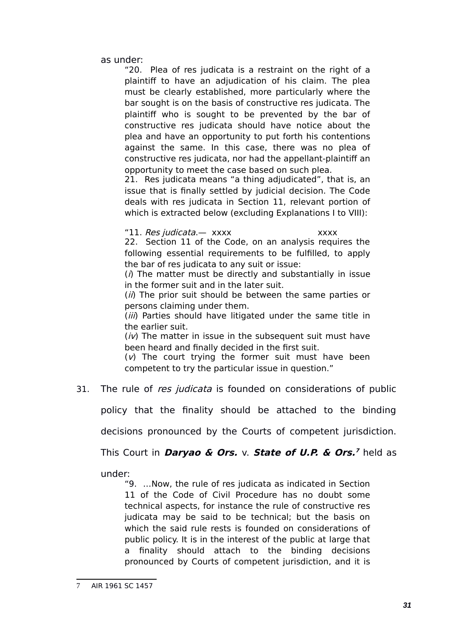as under:

"20. Plea of res judicata is a restraint on the right of a plaintiff to have an adjudication of his claim. The plea must be clearly established, more particularly where the bar sought is on the basis of constructive res judicata. The plaintiff who is sought to be prevented by the bar of constructive res judicata should have notice about the plea and have an opportunity to put forth his contentions against the same. In this case, there was no plea of constructive res judicata, nor had the appellant-plaintiff an opportunity to meet the case based on such plea.

21. Res judicata means "a thing adjudicated", that is, an issue that is finally settled by judicial decision. The Code deals with res judicata in Section 11, relevant portion of which is extracted below (excluding Explanations I to VIII):

"11. Res judicata. — xxxx

22. Section 11 of the Code, on an analysis requires the following essential requirements to be fulfilled, to apply the bar of res judicata to any suit or issue:

 $(i)$  The matter must be directly and substantially in issue in the former suit and in the later suit.

(*ii*) The prior suit should be between the same parties or persons claiming under them.

(*iii*) Parties should have litigated under the same title in the earlier suit.

 $(iv)$  The matter in issue in the subsequent suit must have been heard and finally decided in the first suit.

 $(v)$  The court trying the former suit must have been competent to try the particular issue in question."

31. The rule of res judicata is founded on considerations of public

policy that the finality should be attached to the binding

decisions pronounced by the Courts of competent jurisdiction.

This Court in **Daryao & Ors.** v. **State of U.P. & Ors. [7](#page-30-0)** held as

under:

"9. …Now, the rule of res judicata as indicated in Section 11 of the Code of Civil Procedure has no doubt some technical aspects, for instance the rule of constructive res judicata may be said to be technical; but the basis on which the said rule rests is founded on considerations of public policy. It is in the interest of the public at large that a finality should attach to the binding decisions pronounced by Courts of competent jurisdiction, and it is

<span id="page-30-0"></span>AIR 1961 SC 1457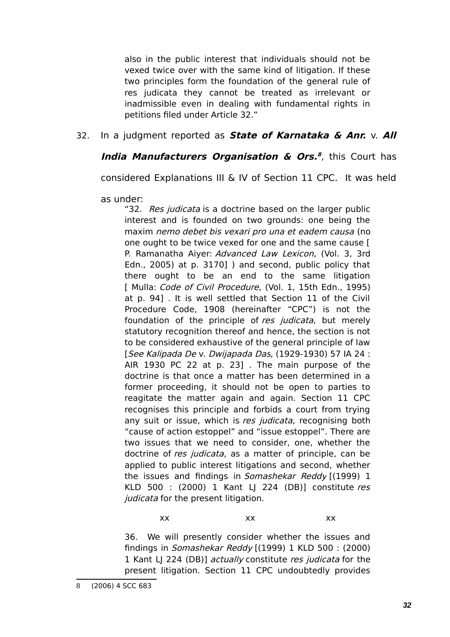also in the public interest that individuals should not be vexed twice over with the same kind of litigation. If these two principles form the foundation of the general rule of res judicata they cannot be treated as irrelevant or inadmissible even in dealing with fundamental rights in petitions filed under Article 32."

# 32. In a judgment reported as **State of Karnataka & Anr.** v. **All**

# **India Manufacturers Organisation & Ors. [8](#page-31-0)** , this Court has

considered Explanations III & IV of Section 11 CPC. It was held

as under:

"32. Res judicata is a doctrine based on the larger public interest and is founded on two grounds: one being the maxim nemo debet bis vexari pro una et eadem causa (no one ought to be twice vexed for one and the same cause [ P. Ramanatha Aiyer: Advanced Law Lexicon, (Vol. 3, 3rd Edn., 2005) at p. 3170] ) and second, public policy that there ought to be an end to the same litigation [ Mulla: *Code of Civil Procedure*, (Vol. 1, 15th Edn., 1995) at p. 94] . It is well settled that Section 11 of the Civil Procedure Code, 1908 (hereinafter "CPC") is not the foundation of the principle of res judicata, but merely statutory recognition thereof and hence, the section is not to be considered exhaustive of the general principle of law [See Kalipada De v. Dwijapada Das, (1929-1930) 57 IA 24 : AIR 1930 PC 22 at p. 23] . The main purpose of the doctrine is that once a matter has been determined in a former proceeding, it should not be open to parties to reagitate the matter again and again. Section 11 CPC recognises this principle and forbids a court from trying any suit or issue, which is res judicata, recognising both "cause of action estoppel" and "issue estoppel". There are two issues that we need to consider, one, whether the doctrine of *res judicata*, as a matter of principle, can be applied to public interest litigations and second, whether the issues and findings in Somashekar Reddy [(1999) 1 KLD 500 : (2000) 1 Kant LJ 224 (DB)] constitute res judicata for the present litigation.

xx xx xx

<span id="page-31-0"></span>36. We will presently consider whether the issues and findings in Somashekar Reddy [(1999) 1 KLD 500 : (2000) 1 Kant LJ 224 (DB)] actually constitute res judicata for the present litigation. Section 11 CPC undoubtedly provides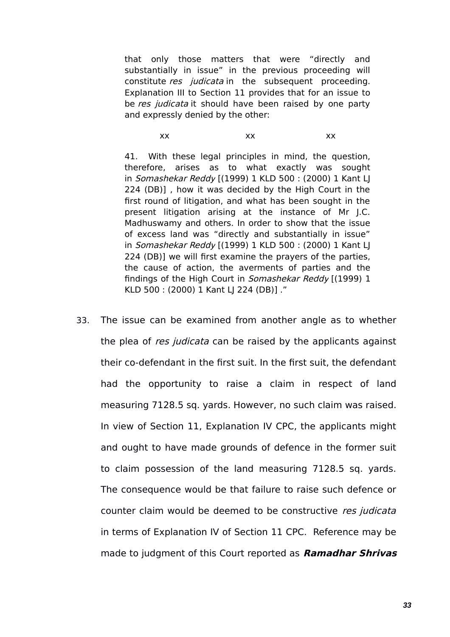that only those matters that were "directly and substantially in issue" in the previous proceeding will constitute res judicata in the subsequent proceeding. Explanation III to Section 11 provides that for an issue to be res judicata it should have been raised by one party and expressly denied by the other:

#### xx xx xx

41. With these legal principles in mind, the question, therefore, arises as to what exactly was sought in Somashekar Reddy [(1999) 1 KLD 500 : (2000) 1 Kant LJ 224 (DB)] , how it was decided by the High Court in the first round of litigation, and what has been sought in the present litigation arising at the instance of Mr J.C. Madhuswamy and others. In order to show that the issue of excess land was "directly and substantially in issue" in Somashekar Reddy [(1999) 1 KLD 500 : (2000) 1 Kant LJ 224 (DB)] we will first examine the prayers of the parties, the cause of action, the averments of parties and the findings of the High Court in Somashekar Reddy [(1999) 1 KLD 500 : (2000) 1 Kant LJ 224 (DB)] ."

33. The issue can be examined from another angle as to whether the plea of res judicata can be raised by the applicants against their co-defendant in the first suit. In the first suit, the defendant had the opportunity to raise a claim in respect of land measuring 7128.5 sq. yards. However, no such claim was raised. In view of Section 11, Explanation IV CPC, the applicants might and ought to have made grounds of defence in the former suit to claim possession of the land measuring 7128.5 sq. yards. The consequence would be that failure to raise such defence or counter claim would be deemed to be constructive res judicata in terms of Explanation IV of Section 11 CPC. Reference may be made to judgment of this Court reported as **Ramadhar Shrivas**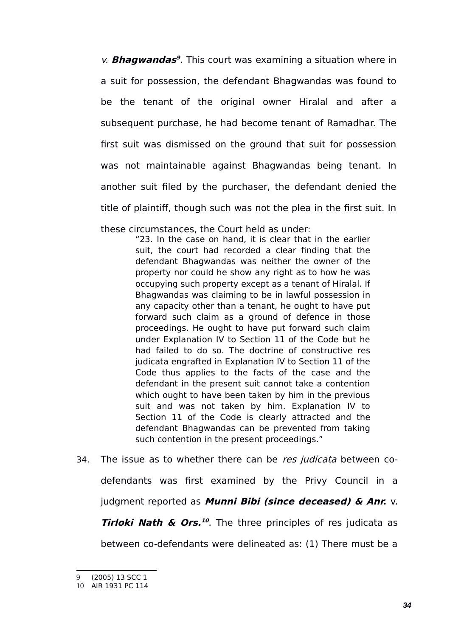v. **Bhagwandas<sup>[9](#page-33-0)</sup>**. This court was examining a situation where in a suit for possession, the defendant Bhagwandas was found to be the tenant of the original owner Hiralal and after a subsequent purchase, he had become tenant of Ramadhar. The first suit was dismissed on the ground that suit for possession was not maintainable against Bhagwandas being tenant. In another suit filed by the purchaser, the defendant denied the title of plaintiff, though such was not the plea in the first suit. In

these circumstances, the Court held as under:

"23. In the case on hand, it is clear that in the earlier suit, the court had recorded a clear finding that the defendant Bhagwandas was neither the owner of the property nor could he show any right as to how he was occupying such property except as a tenant of Hiralal. If Bhagwandas was claiming to be in lawful possession in any capacity other than a tenant, he ought to have put forward such claim as a ground of defence in those proceedings. He ought to have put forward such claim under Explanation IV to Section 11 of the Code but he had failed to do so. The doctrine of constructive res judicata engrafted in Explanation IV to Section 11 of the Code thus applies to the facts of the case and the defendant in the present suit cannot take a contention which ought to have been taken by him in the previous suit and was not taken by him. Explanation IV to Section 11 of the Code is clearly attracted and the defendant Bhagwandas can be prevented from taking such contention in the present proceedings."

# 34. The issue as to whether there can be res judicata between codefendants was first examined by the Privy Council in a judgment reported as **Munni Bibi (since deceased) & Anr.** v. **Tirloki Nath & Ors. [10](#page-33-1)** . The three principles of res judicata as

between co-defendants were delineated as: (1) There must be a

<span id="page-33-0"></span><sup>9</sup> (2005) 13 SCC 1

<span id="page-33-1"></span><sup>10</sup> AIR 1931 PC 114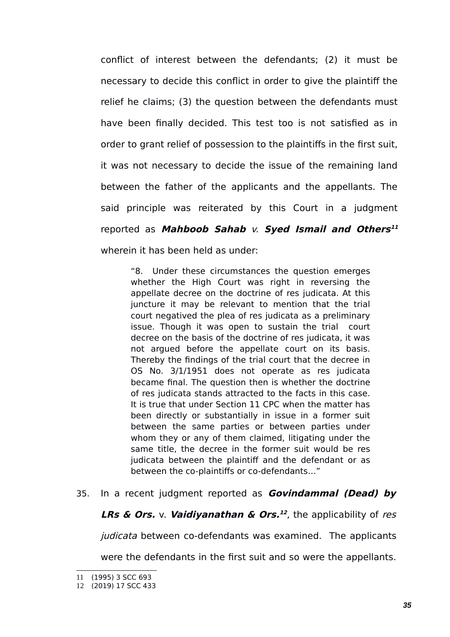conflict of interest between the defendants; (2) it must be necessary to decide this conflict in order to give the plaintiff the relief he claims; (3) the question between the defendants must have been finally decided. This test too is not satisfied as in order to grant relief of possession to the plaintiffs in the first suit, it was not necessary to decide the issue of the remaining land between the father of the applicants and the appellants. The said principle was reiterated by this Court in a judgment reported as **Mahboob Sahab** v. **Syed Ismail and Others [11](#page-34-0)** wherein it has been held as under:

"8. Under these circumstances the question emerges whether the High Court was right in reversing the appellate decree on the doctrine of res judicata. At this juncture it may be relevant to mention that the trial court negatived the plea of res judicata as a preliminary issue. Though it was open to sustain the trial court decree on the basis of the doctrine of res judicata, it was not argued before the appellate court on its basis. Thereby the findings of the trial court that the decree in OS No. 3/1/1951 does not operate as res judicata became final. The question then is whether the doctrine of res judicata stands attracted to the facts in this case. It is true that under Section 11 CPC when the matter has been directly or substantially in issue in a former suit between the same parties or between parties under whom they or any of them claimed, litigating under the same title, the decree in the former suit would be res judicata between the plaintiff and the defendant or as between the co-plaintiffs or co-defendants…"

35. In a recent judgment reported as **Govindammal (Dead) by**

**LRs & Ors.** v. **Vaidiyanathan & Ors. [12](#page-34-1)** , the applicability of res

judicata between co-defendants was examined. The applicants

were the defendants in the first suit and so were the appellants.

<span id="page-34-0"></span><sup>11</sup> (1995) 3 SCC 693

<span id="page-34-1"></span><sup>12</sup> (2019) 17 SCC 433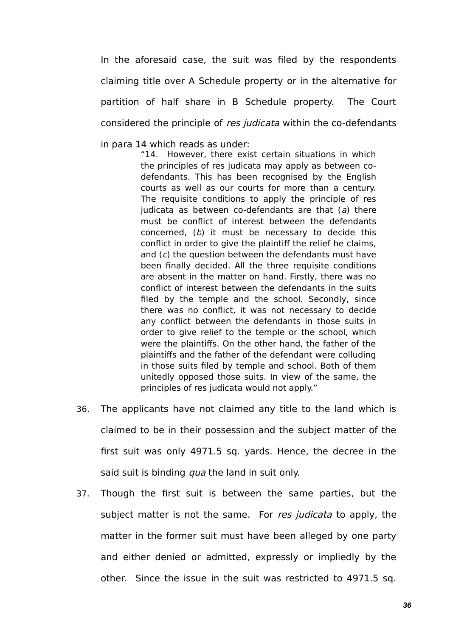In the aforesaid case, the suit was filed by the respondents claiming title over A Schedule property or in the alternative for partition of half share in B Schedule property. The Court considered the principle of res judicata within the co-defendants

in para 14 which reads as under:

"14. However, there exist certain situations in which the principles of res judicata may apply as between codefendants. This has been recognised by the English courts as well as our courts for more than a century. The requisite conditions to apply the principle of res judicata as between co-defendants are that  $(a)$  there must be conflict of interest between the defendants concerned,  $(b)$  it must be necessary to decide this conflict in order to give the plaintiff the relief he claims, and (c) the question between the defendants must have been finally decided. All the three requisite conditions are absent in the matter on hand. Firstly, there was no conflict of interest between the defendants in the suits filed by the temple and the school. Secondly, since there was no conflict, it was not necessary to decide any conflict between the defendants in those suits in order to give relief to the temple or the school, which were the plaintiffs. On the other hand, the father of the plaintiffs and the father of the defendant were colluding in those suits filed by temple and school. Both of them unitedly opposed those suits. In view of the same, the principles of res judicata would not apply."

- 36. The applicants have not claimed any title to the land which is claimed to be in their possession and the subject matter of the first suit was only 4971.5 sq. yards. Hence, the decree in the said suit is binding *qua* the land in suit only.
- 37. Though the first suit is between the same parties, but the subject matter is not the same. For res judicata to apply, the matter in the former suit must have been alleged by one party and either denied or admitted, expressly or impliedly by the other. Since the issue in the suit was restricted to 4971.5 sq.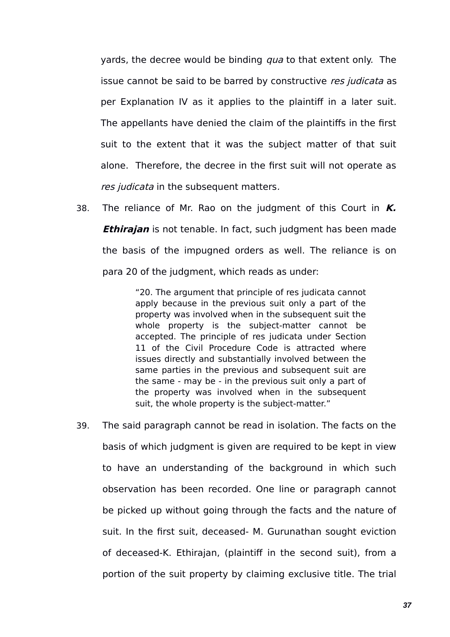yards, the decree would be binding *qua* to that extent only. The issue cannot be said to be barred by constructive res judicata as per Explanation IV as it applies to the plaintiff in a later suit. The appellants have denied the claim of the plaintiffs in the first suit to the extent that it was the subject matter of that suit alone. Therefore, the decree in the first suit will not operate as res judicata in the subsequent matters.

38. The reliance of Mr. Rao on the judgment of this Court in **K. Ethirajan** is not tenable. In fact, such judgment has been made the basis of the impugned orders as well. The reliance is on para 20 of the judgment, which reads as under:

> "20. The argument that principle of res judicata cannot apply because in the previous suit only a part of the property was involved when in the subsequent suit the whole property is the subject-matter cannot be accepted. The principle of res judicata under Section 11 of the Civil Procedure Code is attracted where issues directly and substantially involved between the same parties in the previous and subsequent suit are the same - may be - in the previous suit only a part of the property was involved when in the subsequent suit, the whole property is the subject-matter."

39. The said paragraph cannot be read in isolation. The facts on the basis of which judgment is given are required to be kept in view to have an understanding of the background in which such observation has been recorded. One line or paragraph cannot be picked up without going through the facts and the nature of suit. In the first suit, deceased- M. Gurunathan sought eviction of deceased-K. Ethirajan, (plaintiff in the second suit), from a portion of the suit property by claiming exclusive title. The trial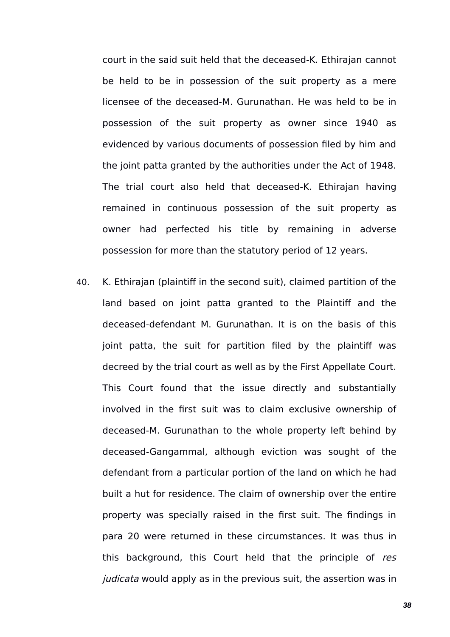court in the said suit held that the deceased-K. Ethirajan cannot be held to be in possession of the suit property as a mere licensee of the deceased-M. Gurunathan. He was held to be in possession of the suit property as owner since 1940 as evidenced by various documents of possession filed by him and the joint patta granted by the authorities under the Act of 1948. The trial court also held that deceased-K. Ethirajan having remained in continuous possession of the suit property as owner had perfected his title by remaining in adverse possession for more than the statutory period of 12 years.

40. K. Ethirajan (plaintiff in the second suit), claimed partition of the land based on joint patta granted to the Plaintiff and the deceased-defendant M. Gurunathan. It is on the basis of this joint patta, the suit for partition filed by the plaintiff was decreed by the trial court as well as by the First Appellate Court. This Court found that the issue directly and substantially involved in the first suit was to claim exclusive ownership of deceased-M. Gurunathan to the whole property left behind by deceased-Gangammal, although eviction was sought of the defendant from a particular portion of the land on which he had built a hut for residence. The claim of ownership over the entire property was specially raised in the first suit. The findings in para 20 were returned in these circumstances. It was thus in this background, this Court held that the principle of res judicata would apply as in the previous suit, the assertion was in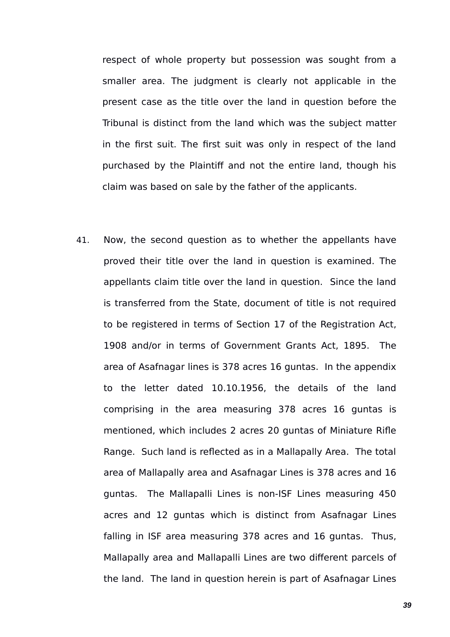respect of whole property but possession was sought from a smaller area. The judgment is clearly not applicable in the present case as the title over the land in question before the Tribunal is distinct from the land which was the subject matter in the first suit. The first suit was only in respect of the land purchased by the Plaintiff and not the entire land, though his claim was based on sale by the father of the applicants.

41. Now, the second question as to whether the appellants have proved their title over the land in question is examined. The appellants claim title over the land in question. Since the land is transferred from the State, document of title is not required to be registered in terms of Section 17 of the Registration Act, 1908 and/or in terms of Government Grants Act, 1895. The area of Asafnagar lines is 378 acres 16 guntas. In the appendix to the letter dated 10.10.1956, the details of the land comprising in the area measuring 378 acres 16 guntas is mentioned, which includes 2 acres 20 guntas of Miniature Rifle Range. Such land is reflected as in a Mallapally Area. The total area of Mallapally area and Asafnagar Lines is 378 acres and 16 guntas. The Mallapalli Lines is non-ISF Lines measuring 450 acres and 12 guntas which is distinct from Asafnagar Lines falling in ISF area measuring 378 acres and 16 guntas. Thus, Mallapally area and Mallapalli Lines are two different parcels of the land. The land in question herein is part of Asafnagar Lines

*39*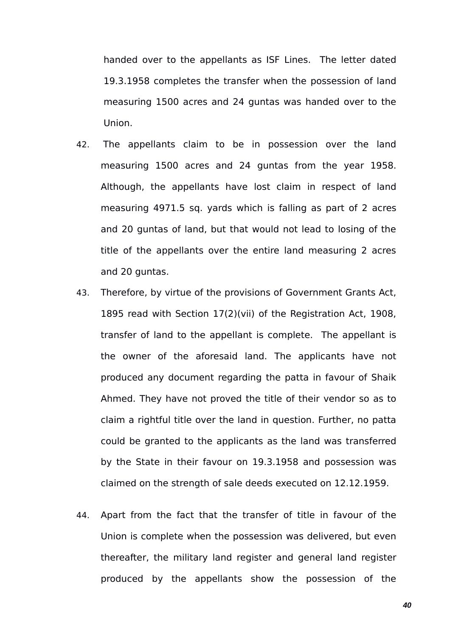handed over to the appellants as ISF Lines. The letter dated 19.3.1958 completes the transfer when the possession of land measuring 1500 acres and 24 guntas was handed over to the Union.

- 42. The appellants claim to be in possession over the land measuring 1500 acres and 24 guntas from the year 1958. Although, the appellants have lost claim in respect of land measuring 4971.5 sq. yards which is falling as part of 2 acres and 20 guntas of land, but that would not lead to losing of the title of the appellants over the entire land measuring 2 acres and 20 guntas.
- 43. Therefore, by virtue of the provisions of Government Grants Act, 1895 read with Section 17(2)(vii) of the Registration Act, 1908, transfer of land to the appellant is complete. The appellant is the owner of the aforesaid land. The applicants have not produced any document regarding the patta in favour of Shaik Ahmed. They have not proved the title of their vendor so as to claim a rightful title over the land in question. Further, no patta could be granted to the applicants as the land was transferred by the State in their favour on 19.3.1958 and possession was claimed on the strength of sale deeds executed on 12.12.1959.
- 44. Apart from the fact that the transfer of title in favour of the Union is complete when the possession was delivered, but even thereafter, the military land register and general land register produced by the appellants show the possession of the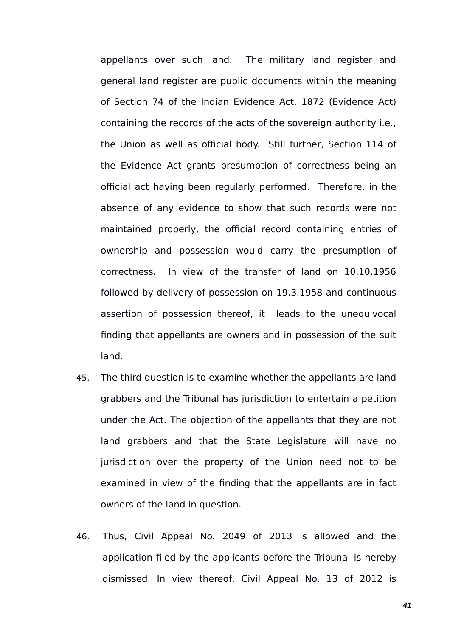appellants over such land. The military land register and general land register are public documents within the meaning of Section 74 of the Indian Evidence Act, 1872 (Evidence Act) containing the records of the acts of the sovereign authority i.e., the Union as well as official body. Still further, Section 114 of the Evidence Act grants presumption of correctness being an official act having been regularly performed. Therefore, in the absence of any evidence to show that such records were not maintained properly, the official record containing entries of ownership and possession would carry the presumption of correctness. In view of the transfer of land on 10.10.1956 followed by delivery of possession on 19.3.1958 and continuous assertion of possession thereof, it leads to the unequivocal finding that appellants are owners and in possession of the suit land.

- 45. The third question is to examine whether the appellants are land grabbers and the Tribunal has jurisdiction to entertain a petition under the Act. The objection of the appellants that they are not land grabbers and that the State Legislature will have no jurisdiction over the property of the Union need not to be examined in view of the finding that the appellants are in fact owners of the land in question.
- 46. Thus, Civil Appeal No. 2049 of 2013 is allowed and the application filed by the applicants before the Tribunal is hereby dismissed. In view thereof, Civil Appeal No. 13 of 2012 is

*41*